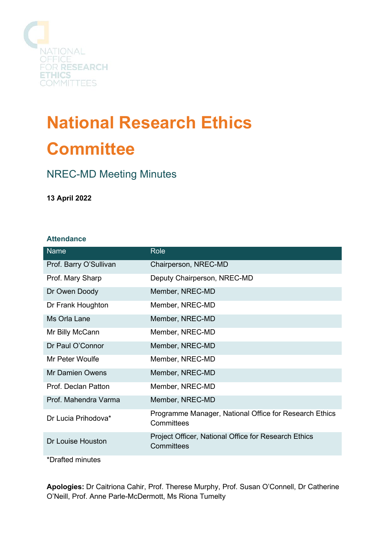

# **National Research Ethics Committee**

# NREC-MD Meeting Minutes

**13 April 2022**

# **Attendance**

| <b>Name</b>            | Role                                                                 |
|------------------------|----------------------------------------------------------------------|
| Prof. Barry O'Sullivan | Chairperson, NREC-MD                                                 |
| Prof. Mary Sharp       | Deputy Chairperson, NREC-MD                                          |
| Dr Owen Doody          | Member, NREC-MD                                                      |
| Dr Frank Houghton      | Member, NREC-MD                                                      |
| Ms Orla Lane           | Member, NREC-MD                                                      |
| Mr Billy McCann        | Member, NREC-MD                                                      |
| Dr Paul O'Connor       | Member, NREC-MD                                                      |
| Mr Peter Woulfe        | Member, NREC-MD                                                      |
| <b>Mr Damien Owens</b> | Member, NREC-MD                                                      |
| Prof. Declan Patton    | Member, NREC-MD                                                      |
| Prof. Mahendra Varma   | Member, NREC-MD                                                      |
| Dr Lucia Prihodova*    | Programme Manager, National Office for Research Ethics<br>Committees |
| Dr Louise Houston      | Project Officer, National Office for Research Ethics<br>Committees   |
| *Drafted minutes       |                                                                      |

**Apologies:** Dr Caitriona Cahir, Prof. Therese Murphy, Prof. Susan O'Connell, Dr Catherine O'Neill, Prof. Anne Parle-McDermott, Ms Riona Tumelty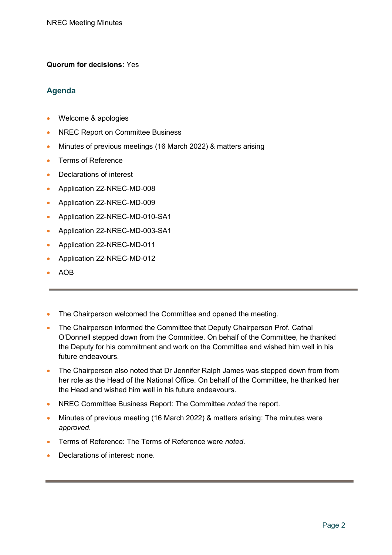## **Quorum for decisions:** Yes

# **Agenda**

- Welcome & apologies
- NREC Report on Committee Business
- Minutes of previous meetings (16 March 2022) & matters arising
- Terms of Reference
- Declarations of interest
- Application 22-NREC-MD-008
- Application 22-NREC-MD-009
- Application 22-NREC-MD-010-SA1
- Application 22-NREC-MD-003-SA1
- Application 22-NREC-MD-011
- Application 22-NREC-MD-012
- AOB
- The Chairperson welcomed the Committee and opened the meeting.
- The Chairperson informed the Committee that Deputy Chairperson Prof. Cathal O'Donnell stepped down from the Committee. On behalf of the Committee, he thanked the Deputy for his commitment and work on the Committee and wished him well in his future endeavours.
- The Chairperson also noted that Dr Jennifer Ralph James was stepped down from from her role as the Head of the National Office. On behalf of the Committee, he thanked her the Head and wished him well in his future endeavours.
- NREC Committee Business Report: The Committee *noted* the report.
- Minutes of previous meeting (16 March 2022) & matters arising: The minutes were *approved*.
- Terms of Reference: The Terms of Reference were *noted*.
- Declarations of interest: none.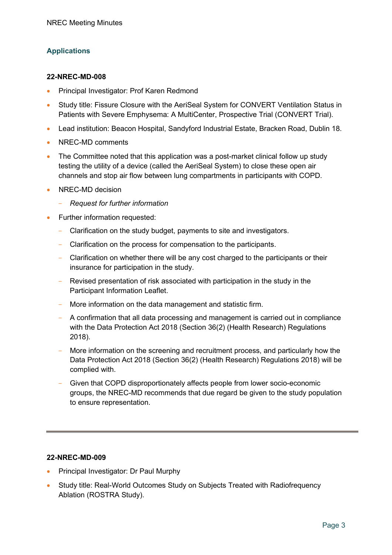# **Applications**

#### **22-NREC-MD-008**

- Principal Investigator: Prof Karen Redmond
- Study title: Fissure Closure with the AeriSeal System for CONVERT Ventilation Status in Patients with Severe Emphysema: A MultiCenter, Prospective Trial (CONVERT Trial).
- Lead institution: Beacon Hospital, Sandyford Industrial Estate, Bracken Road, Dublin 18.
- NREC-MD comments
- The Committee noted that this application was a post-market clinical follow up study testing the utility of a device (called the AeriSeal System) to close these open air channels and stop air flow between lung compartments in participants with COPD.
- NREC-MD decision
	- *Request for further information*
- Further information requested:
	- Clarification on the study budget, payments to site and investigators.
	- Clarification on the process for compensation to the participants.
	- Clarification on whether there will be any cost charged to the participants or their insurance for participation in the study.
	- Revised presentation of risk associated with participation in the study in the Participant Information Leaflet.
	- More information on the data management and statistic firm.
	- A confirmation that all data processing and management is carried out in compliance with the Data Protection Act 2018 (Section 36(2) (Health Research) Regulations 2018).
	- More information on the screening and recruitment process, and particularly how the Data Protection Act 2018 (Section 36(2) (Health Research) Regulations 2018) will be complied with.
	- Given that COPD disproportionately affects people from lower socio-economic groups, the NREC-MD recommends that due regard be given to the study population to ensure representation.

## **22-NREC-MD-009**

- Principal Investigator: Dr Paul Murphy
- Study title: Real-World Outcomes Study on Subjects Treated with Radiofrequency Ablation (ROSTRA Study).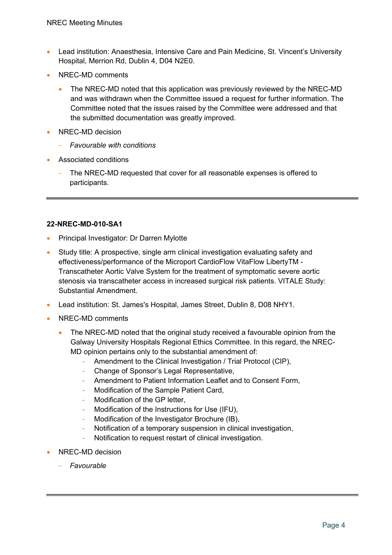- Lead institution: Anaesthesia, Intensive Care and Pain Medicine, St. Vincent's University Hospital, Merrion Rd, Dublin 4, D04 N2E0.
- NREC-MD comments
	- The NREC-MD noted that this application was previously reviewed by the NREC-MD and was withdrawn when the Committee issued a request for further information. The Committee noted that the issues raised by the Committee were addressed and that the submitted documentation was greatly improved.
- NREC-MD decision
	- *Favourable with conditions*
- Associated conditions
	- The NREC-MD requested that cover for all reasonable expenses is offered to participants.

#### **22-NREC-MD-010-SA1**

- Principal Investigator: Dr Darren Mylotte
- Study title: A prospective, single arm clinical investigation evaluating safety and effectiveness/performance of the Microport CardioFlow VitaFlow LibertyTM - Transcatheter Aortic Valve System for the treatment of symptomatic severe aortic stenosis via transcatheter access in increased surgical risk patients. VITALE Study: Substantial Amendment.
- Lead institution: St. James's Hospital, James Street, Dublin 8, D08 NHY1.
- NREC-MD comments
	- The NREC-MD noted that the original study received a favourable opinion from the Galway University Hospitals Regional Ethics Committee. In this regard, the NREC-MD opinion pertains only to the substantial amendment of:
		- Amendment to the Clinical Investigation / Trial Protocol (CIP),
		- Change of Sponsor's Legal Representative,
		- Amendment to Patient Information Leaflet and to Consent Form,
		- Modification of the Sample Patient Card,
		- Modification of the GP letter,
		- Modification of the Instructions for Use (IFU),
		- Modification of the Investigator Brochure (IB),
		- Notification of a temporary suspension in clinical investigation,
		- Notification to request restart of clinical investigation.
- NREC-MD decision
	- *Favourable*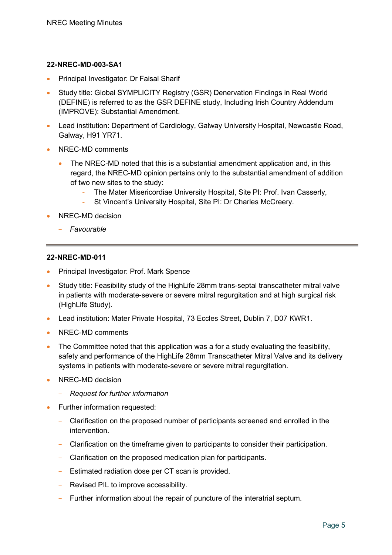#### **22-NREC-MD-003-SA1**

- Principal Investigator: Dr Faisal Sharif
- Study title: Global SYMPLICITY Registry (GSR) Denervation Findings in Real World (DEFINE) is referred to as the GSR DEFINE study, Including Irish Country Addendum (IMPROVE): Substantial Amendment.
- Lead institution: Department of Cardiology, Galway University Hospital, Newcastle Road, Galway, H91 YR71.
- NREC-MD comments
	- The NREC-MD noted that this is a substantial amendment application and, in this regard, the NREC-MD opinion pertains only to the substantial amendment of addition of two new sites to the study:
		- The Mater Misericordiae University Hospital, Site PI: Prof. Ivan Casserly,
		- St Vincent's University Hospital, Site PI: Dr Charles McCreery.
- NREC-MD decision
	- *Favourable*

#### **22-NREC-MD-011**

- Principal Investigator: Prof. Mark Spence
- Study title: Feasibility study of the HighLife 28mm trans-septal transcatheter mitral valve in patients with moderate-severe or severe mitral regurgitation and at high surgical risk (HighLife Study).
- Lead institution: Mater Private Hospital, 73 Eccles Street, Dublin 7, D07 KWR1.
- NREC-MD comments
- The Committee noted that this application was a for a study evaluating the feasibility, safety and performance of the HighLife 28mm Transcatheter Mitral Valve and its delivery systems in patients with moderate-severe or severe mitral regurgitation.
- NREC-MD decision
	- *Request for further information*
- Further information requested:
	- Clarification on the proposed number of participants screened and enrolled in the intervention.
	- Clarification on the timeframe given to participants to consider their participation.
	- Clarification on the proposed medication plan for participants.
	- Estimated radiation dose per CT scan is provided.
	- Revised PIL to improve accessibility.
	- Further information about the repair of puncture of the interatrial septum.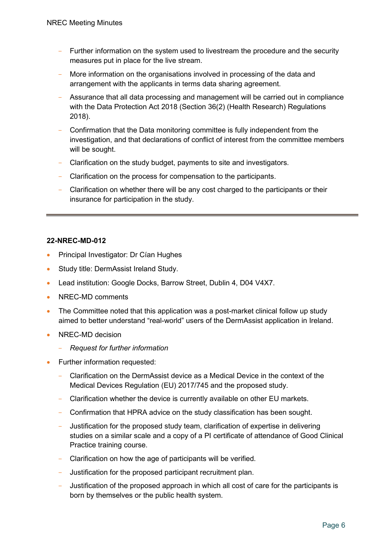- Further information on the system used to livestream the procedure and the security measures put in place for the live stream.
- More information on the organisations involved in processing of the data and arrangement with the applicants in terms data sharing agreement.
- Assurance that all data processing and management will be carried out in compliance with the Data Protection Act 2018 (Section 36(2) (Health Research) Regulations 2018).
- Confirmation that the Data monitoring committee is fully independent from the investigation, and that declarations of conflict of interest from the committee members will be sought.
- Clarification on the study budget, payments to site and investigators.
- Clarification on the process for compensation to the participants.
- Clarification on whether there will be any cost charged to the participants or their insurance for participation in the study.

#### **22-NREC-MD-012**

- Principal Investigator: Dr Cían Hughes
- Study title: DermAssist Ireland Study.
- Lead institution: Google Docks, Barrow Street, Dublin 4, D04 V4X7.
- NREC-MD comments
- The Committee noted that this application was a post-market clinical follow up study aimed to better understand "real-world" users of the DermAssist application in Ireland.
- NREC-MD decision
	- *Request for further information*
- Further information requested:
	- Clarification on the DermAssist device as a Medical Device in the context of the Medical Devices Regulation (EU) 2017/745 and the proposed study.
	- Clarification whether the device is currently available on other EU markets.
	- Confirmation that HPRA advice on the study classification has been sought.
	- Justification for the proposed study team, clarification of expertise in delivering studies on a similar scale and a copy of a PI certificate of attendance of Good Clinical Practice training course.
	- Clarification on how the age of participants will be verified.
	- Justification for the proposed participant recruitment plan.
	- Justification of the proposed approach in which all cost of care for the participants is born by themselves or the public health system.